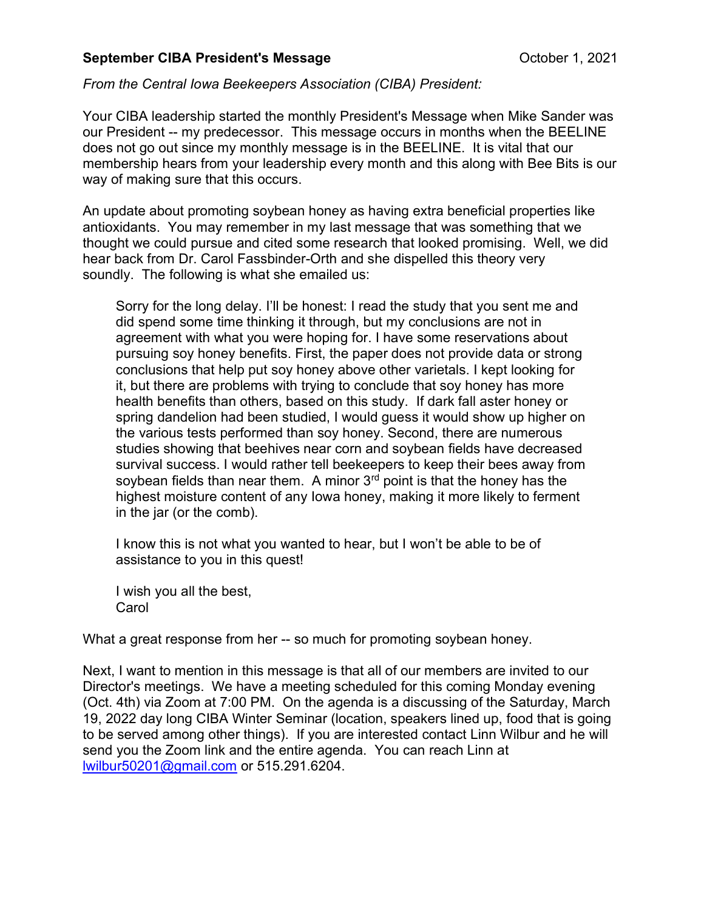## September CIBA President's Message Care Controller 1, 2021

## From the Central Iowa Beekeepers Association (CIBA) President:

Your CIBA leadership started the monthly President's Message when Mike Sander was our President -- my predecessor. This message occurs in months when the BEELINE does not go out since my monthly message is in the BEELINE. It is vital that our membership hears from your leadership every month and this along with Bee Bits is our way of making sure that this occurs.

An update about promoting soybean honey as having extra beneficial properties like antioxidants. You may remember in my last message that was something that we thought we could pursue and cited some research that looked promising. Well, we did hear back from Dr. Carol Fassbinder-Orth and she dispelled this theory very soundly. The following is what she emailed us:

Sorry for the long delay. I'll be honest: I read the study that you sent me and did spend some time thinking it through, but my conclusions are not in agreement with what you were hoping for. I have some reservations about pursuing soy honey benefits. First, the paper does not provide data or strong conclusions that help put soy honey above other varietals. I kept looking for it, but there are problems with trying to conclude that soy honey has more health benefits than others, based on this study. If dark fall aster honey or spring dandelion had been studied, I would guess it would show up higher on the various tests performed than soy honey. Second, there are numerous studies showing that beehives near corn and soybean fields have decreased survival success. I would rather tell beekeepers to keep their bees away from soybean fields than near them. A minor  $3<sup>rd</sup>$  point is that the honey has the highest moisture content of any Iowa honey, making it more likely to ferment in the jar (or the comb).

I know this is not what you wanted to hear, but I won't be able to be of assistance to you in this quest!

I wish you all the best, **Carol** 

What a great response from her -- so much for promoting soybean honey.

Next, I want to mention in this message is that all of our members are invited to our Director's meetings. We have a meeting scheduled for this coming Monday evening (Oct. 4th) via Zoom at 7:00 PM. On the agenda is a discussing of the Saturday, March 19, 2022 day long CIBA Winter Seminar (location, speakers lined up, food that is going to be served among other things). If you are interested contact Linn Wilbur and he will send you the Zoom link and the entire agenda. You can reach Linn at lwilbur50201@gmail.com or 515.291.6204.